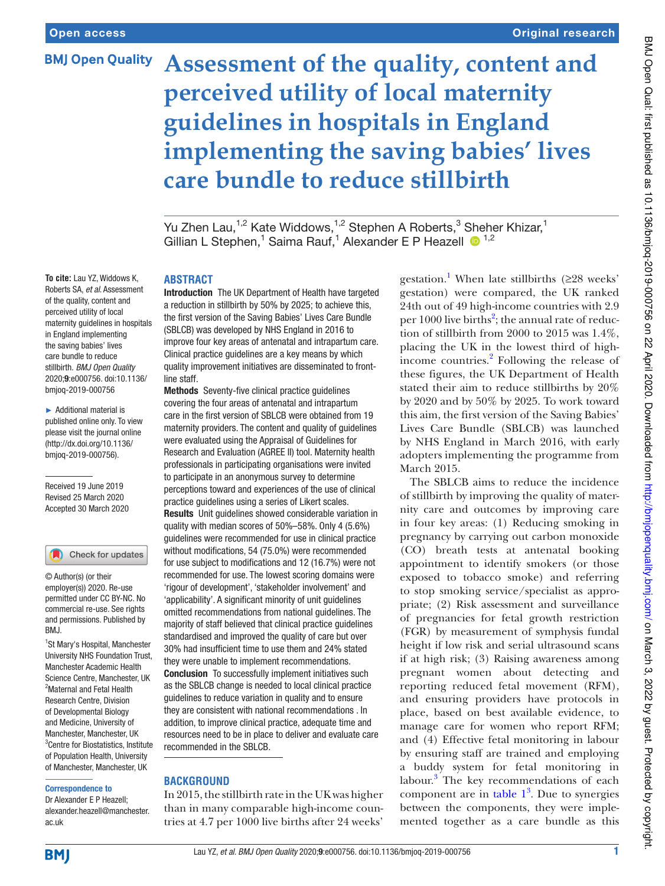# **BMJ Open Quality**

# **Assessment of the quality, content and perceived utility of local maternity guidelines in hospitals in England implementing the saving babies' lives care bundle to reduce stillbirth**

Yu Zhen Lau, $^{1,2}$  Kate Widdows, $^{1,2}$  Stephen A Roberts, $^3$  [She](http://orcid.org/0000-0002-4303-7845)her Khizar, $^1$ Gillian L Stephen,<sup>1</sup> Saima Rauf,<sup>1</sup> Alexander E P Heazell <sup>1,2</sup>

**To cite:** Lau YZ, Widdows K, Roberts SA, et al. Assessment of the quality, content and perceived utility of local maternity guidelines in hospitals in England implementing the saving babies' lives care bundle to reduce stillbirth. BMJ Open Quality 2020;9:e000756. doi:10.1136/ bmjoq-2019-000756

► Additional material is published online only. To view please visit the journal online (http://dx.doi.org/10.1136/ [bmjoq- 2019- 000756\)](http://dx.doi.org/10.1136/bmjoq-2019-000756).

Received 19 June 2019 Revised 25 March 2020 Accepted 30 March 2020

#### Check for updates

© Author(s) (or their employer(s)) 2020. Re-use permitted under CC BY-NC. No commercial re-use. See rights and permissions. Published by RM<sub>J</sub>

1 St Mary's Hospital, Manchester University NHS Foundation Trust, Manchester Academic Health Science Centre, Manchester, UK <sup>2</sup>Maternal and Fetal Health Research Centre, Division of Developmental Biology and Medicine, University of Manchester, Manchester, UK 3 Centre for Biostatistics, Institute of Population Health, University of Manchester, Manchester, UK

#### Correspondence to

Dr Alexander E P Heazell; alexander.heazell@manchester. ac. uk

#### **ABSTRACT**

Introduction The UK Department of Health have targeted a reduction in stillbirth by 50% by 2025; to achieve this, the first version of the Saving Babies' Lives Care Bundle (SBLCB) was developed by NHS England in 2016 to improve four key areas of antenatal and intrapartum care. Clinical practice guidelines are a key means by which quality improvement initiatives are disseminated to frontline staff.

Methods Seventy-five clinical practice guidelines covering the four areas of antenatal and intrapartum care in the first version of SBLCB were obtained from 19 maternity providers. The content and quality of guidelines were evaluated using the Appraisal of Guidelines for Research and Evaluation (AGREE II) tool. Maternity health professionals in participating organisations were invited to participate in an anonymous survey to determine perceptions toward and experiences of the use of clinical practice guidelines using a series of Likert scales. Results Unit guidelines showed considerable variation in quality with median scores of 50%–58%. Only 4 (5.6%) guidelines were recommended for use in clinical practice without modifications, 54 (75.0%) were recommended for use subject to modifications and 12 (16.7%) were not recommended for use. The lowest scoring domains were 'rigour of development', 'stakeholder involvement' and 'applicability'. A significant minority of unit guidelines omitted recommendations from national guidelines. The majority of staff believed that clinical practice guidelines standardised and improved the quality of care but over 30% had insufficient time to use them and 24% stated they were unable to implement recommendations. Conclusion To successfully implement initiatives such as the SBLCB change is needed to local clinical practice guidelines to reduce variation in quality and to ensure

they are consistent with national recommendations . In addition, to improve clinical practice, adequate time and resources need to be in place to deliver and evaluate care recommended in the SBLCB.

#### **Background**

In 2015, the stillbirth rate in the UK was higher than in many comparable high-income countries at 4.7 per 1000 live births after 24 weeks'

gestation.<sup>[1](#page-7-0)</sup> When late stillbirths ( $\geq$ 28 weeks' gestation) were compared, the UK ranked 24th out of 49 high-income countries with 2.9 per 1000 live births<sup>[2](#page-7-1)</sup>; the annual rate of reduction of stillbirth from 2000 to 2015 was 1.4%, placing the UK in the lowest third of high-income countries.<sup>[2](#page-7-1)</sup> Following the release of these figures, the UK Department of Health stated their aim to reduce stillbirths by 20% by 2020 and by 50% by 2025. To work toward this aim, the first version of the Saving Babies' Lives Care Bundle (SBLCB) was launched by NHS England in March 2016, with early adopters implementing the programme from March 2015.

The SBLCB aims to reduce the incidence of stillbirth by improving the quality of maternity care and outcomes by improving care in four key areas: (1) Reducing smoking in pregnancy by carrying out carbon monoxide (CO) breath tests at antenatal booking appointment to identify smokers (or those exposed to tobacco smoke) and referring to stop smoking service/specialist as appropriate; (2) Risk assessment and surveillance of pregnancies for fetal growth restriction (FGR) by measurement of symphysis fundal height if low risk and serial ultrasound scans if at high risk; (3) Raising awareness among pregnant women about detecting and reporting reduced fetal movement (RFM), and ensuring providers have protocols in place, based on best available evidence, to manage care for women who report RFM; and (4) Effective fetal monitoring in labour by ensuring staff are trained and employing a buddy system for fetal monitoring in labour.<sup>[3](#page-7-2)</sup> The key recommendations of each component are in table  $1<sup>3</sup>$  $1<sup>3</sup>$  $1<sup>3</sup>$ . Due to synergies between the components, they were implemented together as a care bundle as this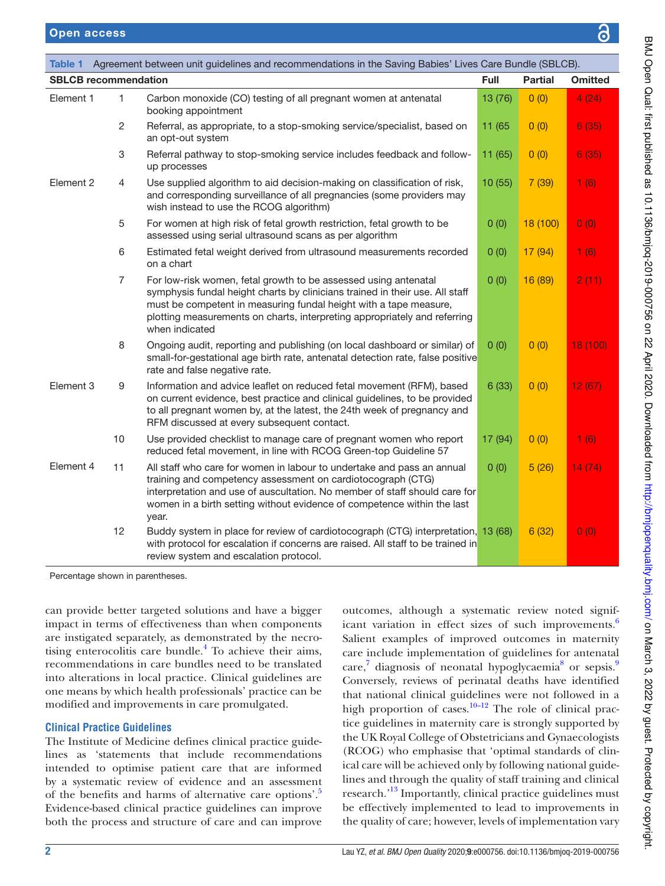<span id="page-1-0"></span>

|                             | Table 1 Agreement between unit guidelines and recommendations in the Saving Babies' Lives Care Bundle (SBLCB). |                                                                                                                                                                                                                                                                                                                     |         |                |                |  |  |  |  |  |  |
|-----------------------------|----------------------------------------------------------------------------------------------------------------|---------------------------------------------------------------------------------------------------------------------------------------------------------------------------------------------------------------------------------------------------------------------------------------------------------------------|---------|----------------|----------------|--|--|--|--|--|--|
| <b>SBLCB</b> recommendation |                                                                                                                |                                                                                                                                                                                                                                                                                                                     |         | <b>Partial</b> | <b>Omitted</b> |  |  |  |  |  |  |
| Element 1                   | 1.                                                                                                             | Carbon monoxide (CO) testing of all pregnant women at antenatal<br>booking appointment                                                                                                                                                                                                                              | 13 (76) | 0(0)           | 4(24)          |  |  |  |  |  |  |
|                             | 2                                                                                                              | Referral, as appropriate, to a stop-smoking service/specialist, based on<br>an opt-out system                                                                                                                                                                                                                       | 11 (65  | 0(0)           | 6(35)          |  |  |  |  |  |  |
|                             | 3                                                                                                              | Referral pathway to stop-smoking service includes feedback and follow-<br>up processes                                                                                                                                                                                                                              | 11 (65) | 0(0)           | 6(35)          |  |  |  |  |  |  |
| Element 2                   | $\overline{4}$                                                                                                 | Use supplied algorithm to aid decision-making on classification of risk,<br>and corresponding surveillance of all pregnancies (some providers may<br>wish instead to use the RCOG algorithm)                                                                                                                        | 10(55)  | 7(39)          | 1(6)           |  |  |  |  |  |  |
|                             | 5                                                                                                              | For women at high risk of fetal growth restriction, fetal growth to be<br>assessed using serial ultrasound scans as per algorithm                                                                                                                                                                                   | 0(0)    | 18 (100)       | 0(0)           |  |  |  |  |  |  |
|                             | 6                                                                                                              | Estimated fetal weight derived from ultrasound measurements recorded<br>on a chart                                                                                                                                                                                                                                  | 0(0)    | 17 (94)        | 1(6)           |  |  |  |  |  |  |
|                             | $\overline{7}$                                                                                                 | For low-risk women, fetal growth to be assessed using antenatal<br>symphysis fundal height charts by clinicians trained in their use. All staff<br>must be competent in measuring fundal height with a tape measure,<br>plotting measurements on charts, interpreting appropriately and referring<br>when indicated | 0(0)    | 16 (89)        | 2(11)          |  |  |  |  |  |  |
|                             | 8                                                                                                              | Ongoing audit, reporting and publishing (on local dashboard or similar) of<br>small-for-gestational age birth rate, antenatal detection rate, false positive<br>rate and false negative rate.                                                                                                                       | 0(0)    | 0(0)           | 18 (100)       |  |  |  |  |  |  |
| Element 3                   | 9                                                                                                              | Information and advice leaflet on reduced fetal movement (RFM), based<br>on current evidence, best practice and clinical guidelines, to be provided<br>to all pregnant women by, at the latest, the 24th week of pregnancy and<br>RFM discussed at every subsequent contact.                                        | 6(33)   | 0(0)           | 12(67)         |  |  |  |  |  |  |
|                             | 10                                                                                                             | Use provided checklist to manage care of pregnant women who report<br>reduced fetal movement, in line with RCOG Green-top Guideline 57                                                                                                                                                                              | 17 (94) | 0(0)           | 1(6)           |  |  |  |  |  |  |
| Element 4                   | 11                                                                                                             | All staff who care for women in labour to undertake and pass an annual<br>training and competency assessment on cardiotocograph (CTG)<br>interpretation and use of auscultation. No member of staff should care for<br>women in a birth setting without evidence of competence within the last<br>year.             | 0(0)    | 5(26)          | 14(74)         |  |  |  |  |  |  |
|                             | 12                                                                                                             | Buddy system in place for review of cardiotocograph (CTG) interpretation, 13 (68)<br>with protocol for escalation if concerns are raised. All staff to be trained in<br>review system and escalation protocol.                                                                                                      |         | 6(32)          | 0(0)           |  |  |  |  |  |  |

Percentage shown in parentheses.

can provide better targeted solutions and have a bigger impact in terms of effectiveness than when components are instigated separately, as demonstrated by the necro-tising enterocolitis care bundle.<sup>[4](#page-7-3)</sup> To achieve their aims, recommendations in care bundles need to be translated into alterations in local practice. Clinical guidelines are one means by which health professionals' practice can be modified and improvements in care promulgated.

# **clinical Practice guidelines**

The Institute of Medicine defines clinical practice guidelines as 'statements that include recommendations intended to optimise patient care that are informed by a systematic review of evidence and an assessment of the benefits and harms of alternative care options'.<sup>[5](#page-7-4)</sup> Evidence- based clinical practice guidelines can improve both the process and structure of care and can improve

outcomes, although a systematic review noted signif-icant variation in effect sizes of such improvements.<sup>[6](#page-7-5)</sup> Salient examples of improved outcomes in maternity care include implementation of guidelines for antenatal care,<sup>[7](#page-7-6)</sup> diagnosis of neonatal hypoglycaemia<sup>[8](#page-7-7)</sup> or sepsis.<sup>[9](#page-7-8)</sup> Conversely, reviews of perinatal deaths have identified that national clinical guidelines were not followed in a high proportion of cases. $10-12$  The role of clinical practice guidelines in maternity care is strongly supported by the UK Royal College of Obstetricians and Gynaecologists (RCOG) who emphasise that 'optimal standards of clinical care will be achieved only by following national guidelines and through the quality of staff training and clinical research.<sup>[13](#page-7-10)</sup> Importantly, clinical practice guidelines must be effectively implemented to lead to improvements in the quality of care; however, levels of implementation vary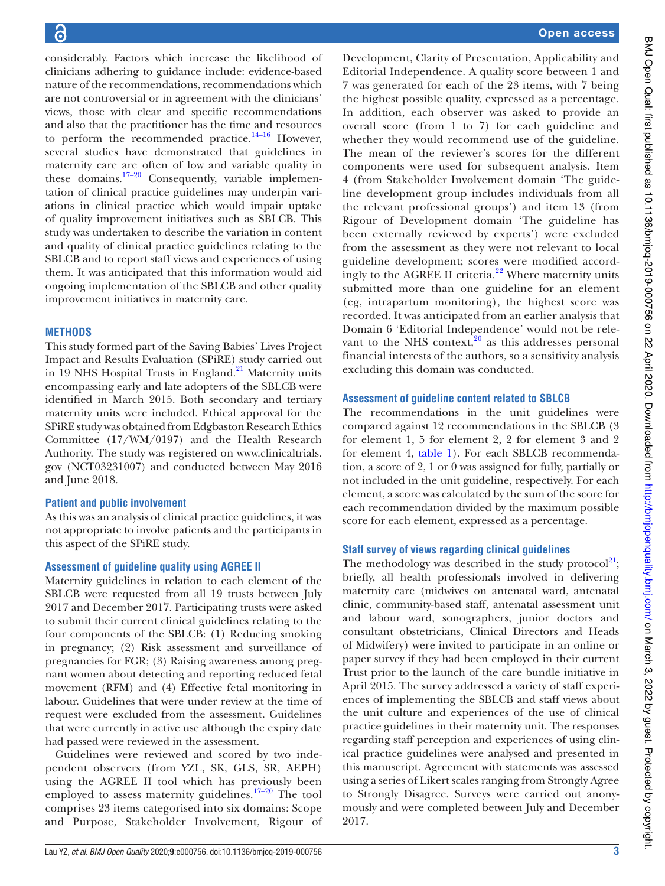considerably. Factors which increase the likelihood of clinicians adhering to guidance include: evidence-based nature of the recommendations, recommendations which are not controversial or in agreement with the clinicians' views, those with clear and specific recommendations and also that the practitioner has the time and resources to perform the recommended practice. $14-16$  However, several studies have demonstrated that guidelines in maternity care are often of low and variable quality in these domains.<sup>[17–20](#page-7-12)</sup> Consequently, variable implementation of clinical practice guidelines may underpin variations in clinical practice which would impair uptake of quality improvement initiatives such as SBLCB. This study was undertaken to describe the variation in content and quality of clinical practice guidelines relating to the SBLCB and to report staff views and experiences of using them. It was anticipated that this information would aid ongoing implementation of the SBLCB and other quality improvement initiatives in maternity care.

# **MeThods**

This study formed part of the Saving Babies' Lives Project Impact and Results Evaluation (SPiRE) study carried out in 19 NHS Hospital Trusts in England. $^{21}$  $^{21}$  $^{21}$  Maternity units encompassing early and late adopters of the SBLCB were identified in March 2015. Both secondary and tertiary maternity units were included. Ethical approval for the SPiRE study was obtained from Edgbaston Research Ethics Committee (17/WM/0197) and the Health Research Authority. The study was registered on [www. clinicaltrials.](www.clinicaltrials.gov) [gov](www.clinicaltrials.gov) (NCT03231007) and conducted between May 2016 and June 2018.

## **Patient and public involvement**

As this was an analysis of clinical practice guidelines, it was not appropriate to involve patients and the participants in this aspect of the SPiRE study.

## **Assessment of guideline quality using AGREE II**

Maternity guidelines in relation to each element of the SBLCB were requested from all 19 trusts between July 2017 and December 2017. Participating trusts were asked to submit their current clinical guidelines relating to the four components of the SBLCB: (1) Reducing smoking in pregnancy; (2) Risk assessment and surveillance of pregnancies for FGR; (3) Raising awareness among pregnant women about detecting and reporting reduced fetal movement (RFM) and (4) Effective fetal monitoring in labour. Guidelines that were under review at the time of request were excluded from the assessment. Guidelines that were currently in active use although the expiry date had passed were reviewed in the assessment.

Guidelines were reviewed and scored by two independent observers (from YZL, SK, GLS, SR, AEPH) using the AGREE II tool which has previously been employed to assess maternity guidelines.<sup>17-20</sup> The tool comprises 23 items categorised into six domains: Scope and Purpose, Stakeholder Involvement, Rigour of

Development, Clarity of Presentation, Applicability and Editorial Independence. A quality score between 1 and 7 was generated for each of the 23 items, with 7 being the highest possible quality, expressed as a percentage. In addition, each observer was asked to provide an overall score (from 1 to 7) for each guideline and whether they would recommend use of the guideline. The mean of the reviewer's scores for the different components were used for subsequent analysis. Item 4 (from Stakeholder Involvement domain 'The guideline development group includes individuals from all the relevant professional groups') and item 13 (from Rigour of Development domain 'The guideline has been externally reviewed by experts') were excluded from the assessment as they were not relevant to local guideline development; scores were modified accord-ingly to the AGREE II criteria.<sup>[22](#page-7-14)</sup> Where maternity units submitted more than one guideline for an element (eg, intrapartum monitoring), the highest score was recorded. It was anticipated from an earlier analysis that Domain 6 'Editorial Independence' would not be relevant to the NHS context, $20$  as this addresses personal financial interests of the authors, so a sensitivity analysis excluding this domain was conducted.

#### **assessment of guideline content related to sBLcB**

The recommendations in the unit guidelines were compared against 12 recommendations in the SBLCB (3 for element 1, 5 for element 2, 2 for element 3 and 2 for element 4, [table 1](#page-1-0)). For each SBLCB recommendation, a score of 2, 1 or 0 was assigned for fully, partially or not included in the unit guideline, respectively. For each element, a score was calculated by the sum of the score for each recommendation divided by the maximum possible score for each element, expressed as a percentage.

## **staff survey of views regarding clinical guidelines**

The methodology was described in the study protocol<sup>[21](#page-7-13)</sup>; briefly, all health professionals involved in delivering maternity care (midwives on antenatal ward, antenatal clinic, community-based staff, antenatal assessment unit and labour ward, sonographers, junior doctors and consultant obstetricians, Clinical Directors and Heads of Midwifery) were invited to participate in an online or paper survey if they had been employed in their current Trust prior to the launch of the care bundle initiative in April 2015. The survey addressed a variety of staff experiences of implementing the SBLCB and staff views about the unit culture and experiences of the use of clinical practice guidelines in their maternity unit. The responses regarding staff perception and experiences of using clinical practice guidelines were analysed and presented in this manuscript. Agreement with statements was assessed using a series of Likert scales ranging from Strongly Agree to Strongly Disagree. Surveys were carried out anonymously and were completed between July and December 2017.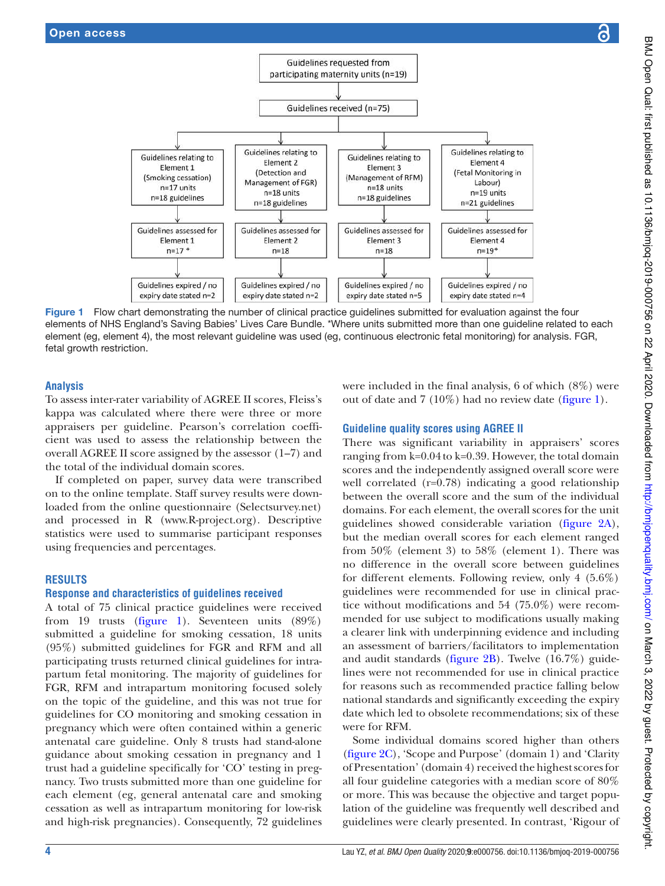

Figure 1 Flow chart demonstrating the number of clinical practice guidelines submitted for evaluation against the four elements of NHS England's Saving Babies' Lives Care Bundle. \*Where units submitted more than one guideline related to each element (eg, element 4), the most relevant guideline was used (eg, continuous electronic fetal monitoring) for analysis. FGR, fetal growth restriction.

## **analysis**

To assess inter-rater variability of AGREE II scores, Fleiss's kappa was calculated where there were three or more appraisers per guideline. Pearson's correlation coefficient was used to assess the relationship between the overall AGREE II score assigned by the assessor (1–7) and the total of the individual domain scores.

If completed on paper, survey data were transcribed on to the online template. Staff survey results were downloaded from the online questionnaire (Selectsurvey.net) and processed in R (www.R-project.org). Descriptive statistics were used to summarise participant responses using frequencies and percentages.

## **resuLTs**

# **response and characteristics of guidelines received**

A total of 75 clinical practice guidelines were received from 19 trusts [\(figure 1](#page-3-0)). Seventeen units (89%) submitted a guideline for smoking cessation, 18 units (95%) submitted guidelines for FGR and RFM and all participating trusts returned clinical guidelines for intrapartum fetal monitoring. The majority of guidelines for FGR, RFM and intrapartum monitoring focused solely on the topic of the guideline, and this was not true for guidelines for CO monitoring and smoking cessation in pregnancy which were often contained within a generic antenatal care guideline. Only 8 trusts had stand-alone guidance about smoking cessation in pregnancy and 1 trust had a guideline specifically for 'CO' testing in pregnancy. Two trusts submitted more than one guideline for each element (eg, general antenatal care and smoking cessation as well as intrapartum monitoring for low-risk and high-risk pregnancies). Consequently, 72 guidelines

<span id="page-3-0"></span>were included in the final analysis, 6 of which (8%) were out of date and 7 (10%) had no review date ([figure 1\)](#page-3-0).

# **Guideline quality scores using AGREE II**

There was significant variability in appraisers' scores ranging from k=0.04 to k=0.39. However, the total domain scores and the independently assigned overall score were well correlated (r=0.78) indicating a good relationship between the overall score and the sum of the individual domains. For each element, the overall scores for the unit guidelines showed considerable variation [\(figure 2A\)](#page-4-0), but the median overall scores for each element ranged from 50% (element 3) to 58% (element 1). There was no difference in the overall score between guidelines for different elements. Following review, only 4 (5.6%) guidelines were recommended for use in clinical practice without modifications and 54 (75.0%) were recommended for use subject to modifications usually making a clearer link with underpinning evidence and including an assessment of barriers/facilitators to implementation and audit standards [\(figure 2B](#page-4-0)). Twelve (16.7%) guidelines were not recommended for use in clinical practice for reasons such as recommended practice falling below national standards and significantly exceeding the expiry date which led to obsolete recommendations; six of these were for RFM.

Some individual domains scored higher than others [\(figure 2C\)](#page-4-0), 'Scope and Purpose' (domain 1) and 'Clarity of Presentation' (domain 4) received the highest scores for all four guideline categories with a median score of 80% or more. This was because the objective and target population of the guideline was frequently well described and guidelines were clearly presented. In contrast, 'Rigour of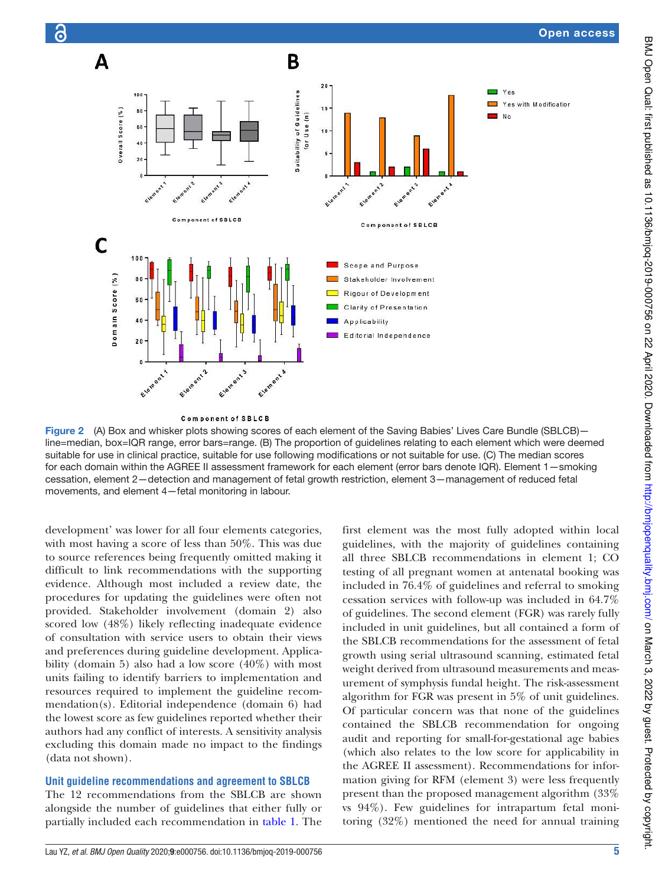

<span id="page-4-0"></span>**Component of SBLCB** 

ö

Figure 2 (A) Box and whisker plots showing scores of each element of the Saving Babies' Lives Care Bundle (SBLCB) line=median, box=IQR range, error bars=range. (B) The proportion of guidelines relating to each element which were deemed suitable for use in clinical practice, suitable for use following modifications or not suitable for use. (C) The median scores for each domain within the AGREE II assessment framework for each element (error bars denote IQR). Element 1—smoking cessation, element 2—detection and management of fetal growth restriction, element 3—management of reduced fetal movements, and element 4—fetal monitoring in labour.

development' was lower for all four elements categories, with most having a score of less than 50%. This was due to source references being frequently omitted making it difficult to link recommendations with the supporting evidence. Although most included a review date, the procedures for updating the guidelines were often not provided. Stakeholder involvement (domain 2) also scored low (48%) likely reflecting inadequate evidence of consultation with service users to obtain their views and preferences during guideline development. Applicability (domain 5) also had a low score (40%) with most units failing to identify barriers to implementation and resources required to implement the guideline recommendation(s). Editorial independence (domain 6) had the lowest score as few guidelines reported whether their authors had any conflict of interests. A sensitivity analysis excluding this domain made no impact to the findings (data not shown).

# **unit guideline recommendations and agreement to sBLcB**

The 12 recommendations from the SBLCB are shown alongside the number of guidelines that either fully or partially included each recommendation in [table 1.](#page-1-0) The

Lau YZ, et al. BMJ Open Quality 2020;9:e000756. doi:10.1136/bmjoq-2019-000756

first element was the most fully adopted within local guidelines, with the majority of guidelines containing all three SBLCB recommendations in element 1; CO testing of all pregnant women at antenatal booking was included in 76.4% of guidelines and referral to smoking cessation services with follow-up was included in 64.7% of guidelines. The second element (FGR) was rarely fully included in unit guidelines, but all contained a form of the SBLCB recommendations for the assessment of fetal growth using serial ultrasound scanning, estimated fetal weight derived from ultrasound measurements and measurement of symphysis fundal height. The risk-assessment algorithm for FGR was present in 5% of unit guidelines. Of particular concern was that none of the guidelines contained the SBLCB recommendation for ongoing audit and reporting for small-for-gestational age babies (which also relates to the low score for applicability in the AGREE II assessment). Recommendations for information giving for RFM (element 3) were less frequently present than the proposed management algorithm (33% vs 94%). Few guidelines for intrapartum fetal monitoring (32%) mentioned the need for annual training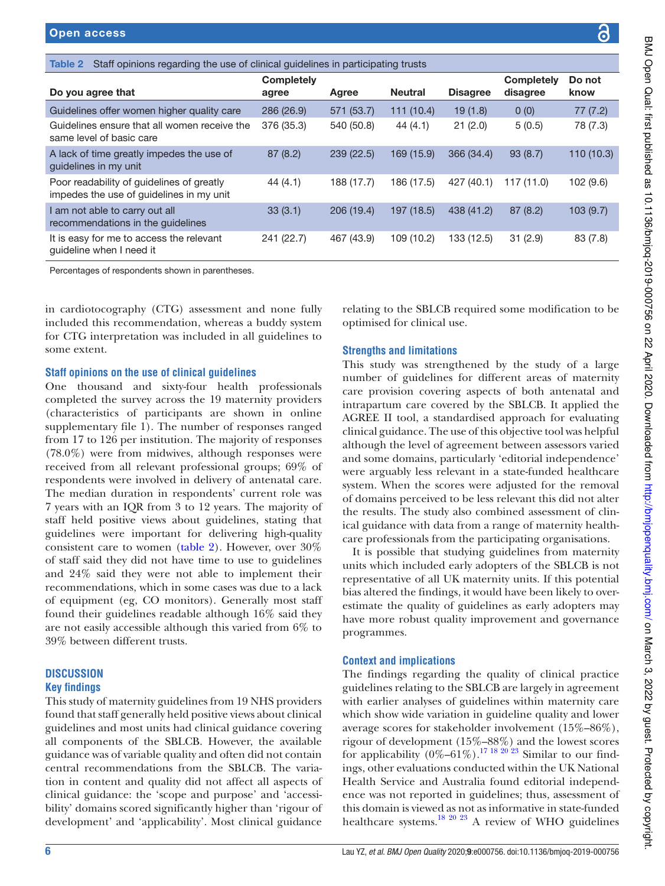<span id="page-5-0"></span>

| Staff opinions regarding the use of clinical guidelines in participating trusts<br>Table 2 |                            |            |                |                 |                               |                |  |  |  |  |
|--------------------------------------------------------------------------------------------|----------------------------|------------|----------------|-----------------|-------------------------------|----------------|--|--|--|--|
| Do you agree that                                                                          | <b>Completely</b><br>agree | Agree      | <b>Neutral</b> | <b>Disagree</b> | <b>Completely</b><br>disagree | Do not<br>know |  |  |  |  |
| Guidelines offer women higher quality care                                                 | 286 (26.9)                 | 571 (53.7) | 111(10.4)      | 19(1.8)         | 0(0)                          | 77 (7.2)       |  |  |  |  |
| Guidelines ensure that all women receive the<br>same level of basic care                   | 376 (35.3)                 | 540 (50.8) | 44(4.1)        | 21(2.0)         | 5(0.5)                        | 78 (7.3)       |  |  |  |  |
| A lack of time greatly impedes the use of<br>quidelines in my unit                         | 87(8.2)                    | 239(22.5)  | 169 (15.9)     | 366 (34.4)      | 93(8.7)                       | 110 (10.3)     |  |  |  |  |
| Poor readability of guidelines of greatly<br>impedes the use of guidelines in my unit      | 44(4.1)                    | 188 (17.7) | 186 (17.5)     | 427 (40.1)      | 117(11.0)                     | 102 (9.6)      |  |  |  |  |
| I am not able to carry out all<br>recommendations in the guidelines                        | 33(3.1)                    | 206 (19.4) | 197 (18.5)     | 438 (41.2)      | 87(8.2)                       | 103(9.7)       |  |  |  |  |
| It is easy for me to access the relevant<br>quideline when I need it                       | 241 (22.7)                 | 467 (43.9) | 109 (10.2)     | 133 (12.5)      | 31(2.9)                       | 83 (7.8)       |  |  |  |  |
|                                                                                            |                            |            |                |                 |                               |                |  |  |  |  |

Percentages of respondents shown in parentheses.

in cardiotocography (CTG) assessment and none fully included this recommendation, whereas a buddy system for CTG interpretation was included in all guidelines to some extent.

## **staff opinions on the use of clinical guidelines**

One thousand and sixty-four health professionals completed the survey across the 19 maternity providers (characteristics of participants are shown in [online](https://dx.doi.org/10.1136/bmjoq-2019-000756) [supplementary file 1\)](https://dx.doi.org/10.1136/bmjoq-2019-000756). The number of responses ranged from 17 to 126 per institution. The majority of responses (78.0%) were from midwives, although responses were received from all relevant professional groups; 69% of respondents were involved in delivery of antenatal care. The median duration in respondents' current role was 7 years with an IQR from 3 to 12 years. The majority of staff held positive views about guidelines, stating that guidelines were important for delivering high-quality consistent care to women ([table 2](#page-5-0)). However, over 30% of staff said they did not have time to use to guidelines and 24% said they were not able to implement their recommendations, which in some cases was due to a lack of equipment (eg, CO monitors). Generally most staff found their guidelines readable although 16% said they are not easily accessible although this varied from 6% to 39% between different trusts.

# **dIscussIon key findings**

This study of maternity guidelines from 19 NHS providers found that staff generally held positive views about clinical guidelines and most units had clinical guidance covering all components of the SBLCB. However, the available guidance was of variable quality and often did not contain central recommendations from the SBLCB. The variation in content and quality did not affect all aspects of clinical guidance: the 'scope and purpose' and 'accessibility' domains scored significantly higher than 'rigour of development' and 'applicability'. Most clinical guidance

relating to the SBLCB required some modification to be optimised for clinical use.

# **strengths and limitations**

This study was strengthened by the study of a large number of guidelines for different areas of maternity care provision covering aspects of both antenatal and intrapartum care covered by the SBLCB. It applied the AGREE II tool, a standardised approach for evaluating clinical guidance. The use of this objective tool was helpful although the level of agreement between assessors varied and some domains, particularly 'editorial independence' were arguably less relevant in a state-funded healthcare system. When the scores were adjusted for the removal of domains perceived to be less relevant this did not alter the results. The study also combined assessment of clinical guidance with data from a range of maternity healthcare professionals from the participating organisations.

It is possible that studying guidelines from maternity units which included early adopters of the SBLCB is not representative of all UK maternity units. If this potential bias altered the findings, it would have been likely to overestimate the quality of guidelines as early adopters may have more robust quality improvement and governance programmes.

# **context and implications**

The findings regarding the quality of clinical practice guidelines relating to the SBLCB are largely in agreement with earlier analyses of guidelines within maternity care which show wide variation in guideline quality and lower average scores for stakeholder involvement (15%–86%), rigour of development (15%–88%) and the lowest scores for applicability  $(0\%-61\%)$ .<sup>17</sup> <sup>18 20</sup> <sup>23</sup> Similar to our findings, other evaluations conducted within the UK National Health Service and Australia found editorial independence was not reported in guidelines; thus, assessment of this domain is viewed as not as informative in state-funded healthcare systems. $^{18\ 20\ 23}$  A review of WHO guidelines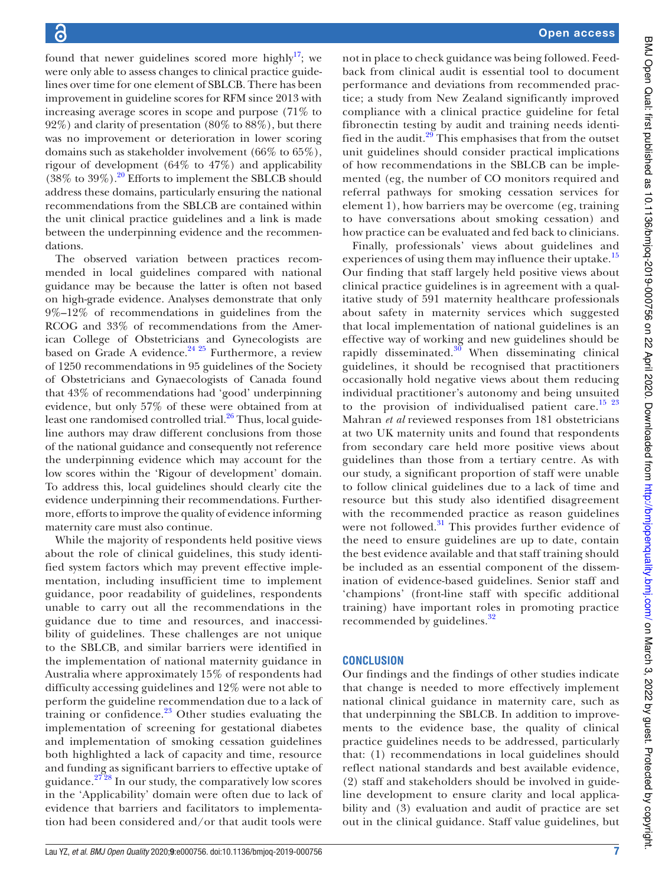found that newer guidelines scored more highly<sup>[17](#page-7-12)</sup>; we were only able to assess changes to clinical practice guidelines over time for one element of SBLCB. There has been improvement in guideline scores for RFM since 2013 with increasing average scores in scope and purpose (71% to 92%) and clarity of presentation (80% to 88%), but there was no improvement or deterioration in lower scoring domains such as stakeholder involvement (66% to 65%), rigour of development (64% to 47%) and applicability  $(38\% \text{ to } 39\%)$ .<sup>[20](#page-7-15)</sup> Efforts to implement the SBLCB should address these domains, particularly ensuring the national recommendations from the SBLCB are contained within the unit clinical practice guidelines and a link is made between the underpinning evidence and the recommendations.

The observed variation between practices recommended in local guidelines compared with national guidance may be because the latter is often not based on high-grade evidence. Analyses demonstrate that only 9%–12% of recommendations in guidelines from the RCOG and 33% of recommendations from the American College of Obstetricians and Gynecologists are based on Grade A evidence.<sup>[24 25](#page-7-17)</sup> Furthermore, a review of 1250 recommendations in 95 guidelines of the Society of Obstetricians and Gynaecologists of Canada found that 43% of recommendations had 'good' underpinning evidence, but only 57% of these were obtained from at least one randomised controlled trial.<sup>[26](#page-7-18)</sup> Thus, local guideline authors may draw different conclusions from those of the national guidance and consequently not reference the underpinning evidence which may account for the low scores within the 'Rigour of development' domain. To address this, local guidelines should clearly cite the evidence underpinning their recommendations. Furthermore, efforts to improve the quality of evidence informing maternity care must also continue.

While the majority of respondents held positive views about the role of clinical guidelines, this study identified system factors which may prevent effective implementation, including insufficient time to implement guidance, poor readability of guidelines, respondents unable to carry out all the recommendations in the guidance due to time and resources, and inaccessibility of guidelines. These challenges are not unique to the SBLCB, and similar barriers were identified in the implementation of national maternity guidance in Australia where approximately 15% of respondents had difficulty accessing guidelines and 12% were not able to perform the guideline recommendation due to a lack of training or confidence. $23$  Other studies evaluating the implementation of screening for gestational diabetes and implementation of smoking cessation guidelines both highlighted a lack of capacity and time, resource and funding as significant barriers to effective uptake of guidance.<sup>2728</sup> In our study, the comparatively low scores in the 'Applicability' domain were often due to lack of evidence that barriers and facilitators to implementation had been considered and/or that audit tools were

not in place to check guidance was being followed. Feedback from clinical audit is essential tool to document performance and deviations from recommended practice; a study from New Zealand significantly improved compliance with a clinical practice guideline for fetal fibronectin testing by audit and training needs identi-fied in the audit.<sup>[29](#page-8-0)</sup> This emphasises that from the outset unit guidelines should consider practical implications of how recommendations in the SBLCB can be implemented (eg, the number of CO monitors required and referral pathways for smoking cessation services for element 1), how barriers may be overcome (eg, training to have conversations about smoking cessation) and how practice can be evaluated and fed back to clinicians.

Finally, professionals' views about guidelines and experiences of using them may influence their uptake.<sup>[15](#page-7-21)</sup> Our finding that staff largely held positive views about clinical practice guidelines is in agreement with a qualitative study of 591 maternity healthcare professionals about safety in maternity services which suggested that local implementation of national guidelines is an effective way of working and new guidelines should be rapidly disseminated. $30$  When disseminating clinical guidelines, it should be recognised that practitioners occasionally hold negative views about them reducing individual practitioner's autonomy and being unsuited to the provision of individualised patient care.<sup>[15 23](#page-7-21)</sup> Mahran *et al* reviewed responses from 181 obstetricians at two UK maternity units and found that respondents from secondary care held more positive views about guidelines than those from a tertiary centre. As with our study, a significant proportion of staff were unable to follow clinical guidelines due to a lack of time and resource but this study also identified disagreement with the recommended practice as reason guidelines were not followed.<sup>[31](#page-8-2)</sup> This provides further evidence of the need to ensure guidelines are up to date, contain the best evidence available and that staff training should be included as an essential component of the dissemination of evidence-based guidelines. Senior staff and 'champions' (front-line staff with specific additional training) have important roles in promoting practice recommended by guidelines.<sup>[32](#page-8-3)</sup>

# **concLusIon**

Our findings and the findings of other studies indicate that change is needed to more effectively implement national clinical guidance in maternity care, such as that underpinning the SBLCB. In addition to improvements to the evidence base, the quality of clinical practice guidelines needs to be addressed, particularly that: (1) recommendations in local guidelines should reflect national standards and best available evidence, (2) staff and stakeholders should be involved in guideline development to ensure clarity and local applicability and (3) evaluation and audit of practice are set out in the clinical guidance. Staff value guidelines, but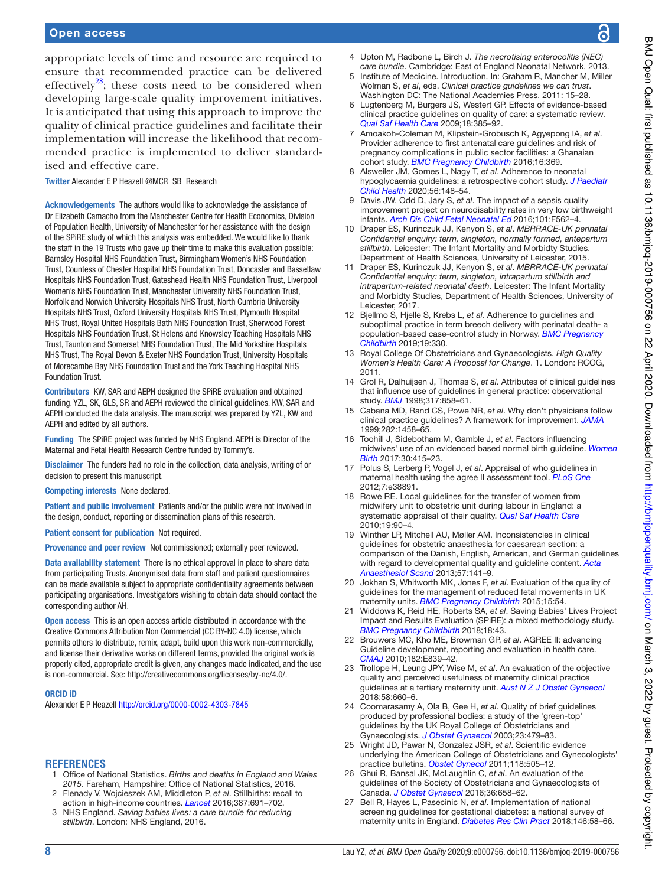appropriate levels of time and resource are required to ensure that recommended practice can be delivered effectively<sup>[28](#page-8-4)</sup>; these costs need to be considered when developing large-scale quality improvement initiatives. It is anticipated that using this approach to improve the quality of clinical practice guidelines and facilitate their implementation will increase the likelihood that recommended practice is implemented to deliver standardised and effective care.

Twitter Alexander E P Heazell [@MCR\\_SB\\_Research](https://twitter.com/MCR_SB_Research)

Acknowledgements The authors would like to acknowledge the assistance of Dr Elizabeth Camacho from the Manchester Centre for Health Economics, Division of Population Health, University of Manchester for her assistance with the design of the SPiRE study of which this analysis was embedded. We would like to thank the staff in the 19 Trusts who gave up their time to make this evaluation possible: Barnsley Hospital NHS Foundation Trust, Birmingham Women's NHS Foundation Trust, Countess of Chester Hospital NHS Foundation Trust, Doncaster and Bassetlaw Hospitals NHS Foundation Trust, Gateshead Health NHS Foundation Trust, Liverpool Women's NHS Foundation Trust, Manchester University NHS Foundation Trust, Norfolk and Norwich University Hospitals NHS Trust, North Cumbria University Hospitals NHS Trust, Oxford University Hospitals NHS Trust, Plymouth Hospital NHS Trust, Royal United Hospitals Bath NHS Foundation Trust, Sherwood Forest Hospitals NHS Foundation Trust, St Helens and Knowsley Teaching Hospitals NHS Trust, Taunton and Somerset NHS Foundation Trust, The Mid Yorkshire Hospitals NHS Trust, The Royal Devon & Exeter NHS Foundation Trust, University Hospitals of Morecambe Bay NHS Foundation Trust and the York Teaching Hospital NHS Foundation Trust.

Contributors KW, SAR and AEPH designed the SPiRE evaluation and obtained funding. YZL, SK, GLS, SR and AEPH reviewed the clinical guidelines. KW, SAR and AEPH conducted the data analysis. The manuscript was prepared by YZL, KW and AEPH and edited by all authors.

Funding The SPiRE project was funded by NHS England. AEPH is Director of the Maternal and Fetal Health Research Centre funded by Tommy's.

Disclaimer The funders had no role in the collection, data analysis, writing of or decision to present this manuscript.

Competing interests None declared.

Patient and public involvement Patients and/or the public were not involved in the design, conduct, reporting or dissemination plans of this research.

Patient consent for publication Not required.

Provenance and peer review Not commissioned; externally peer reviewed.

Data availability statement There is no ethical approval in place to share data from participating Trusts. Anonymised data from staff and patient questionnaires can be made available subject to appropriate confidentiality agreements between participating organisations. Investigators wishing to obtain data should contact the corresponding author AH.

Open access This is an open access article distributed in accordance with the Creative Commons Attribution Non Commercial (CC BY- NC 4.0) license, which permits others to distribute, remix, adapt, build upon this work non-commercially, and license their derivative works on different terms, provided the original work is properly cited, appropriate credit is given, any changes made indicated, and the use is non-commercial. See: http://creativecommons.org/licenses/by-nc/4.0/.

#### ORCID iD

Alexander E P Heazell http://orcid.org/0000-0002-4303-7845

## **REFERENCES**

- <span id="page-7-0"></span>Office of National Statistics. Births and deaths in England and Wales 2015. Fareham, Hampshire: Office of National Statistics, 2016.
- <span id="page-7-1"></span> 2 Flenady V, Wojcieszek AM, Middleton P, et al. Stillbirths: recall to action in high-income countries. [Lancet](http://dx.doi.org/10.1016/S0140-6736(15)01020-X) 2016;387:691-702.
- <span id="page-7-2"></span> 3 NHS England. Saving babies lives: a care bundle for reducing stillbirth. London: NHS England, 2016.
- <span id="page-7-3"></span> 4 Upton M, Radbone L, Birch J. The necrotising enterocolitis (NEC) care bundle. Cambridge: East of England Neonatal Network, 2013.
- <span id="page-7-4"></span>Institute of Medicine. Introduction. In: Graham R, Mancher M, Miller Wolman S, et al, eds. Clinical practice guidelines we can trust. Washington DC: The National Academies Press, 2011: 15–28.
- <span id="page-7-5"></span> 6 Lugtenberg M, Burgers JS, Westert GP. Effects of evidence- based clinical practice guidelines on quality of care: a systematic review. [Qual Saf Health Care](http://dx.doi.org/10.1136/qshc.2008.028043) 2009;18:385–92.
- <span id="page-7-6"></span>7 Amoakoh-Coleman M, Klipstein-Grobusch K, Agyepong IA, et al. Provider adherence to first antenatal care guidelines and risk of pregnancy complications in public sector facilities: a Ghanaian cohort study. [BMC Pregnancy Childbirth](http://dx.doi.org/10.1186/s12884-016-1167-6) 2016;16:369.
- <span id="page-7-7"></span>Alsweiler JM, Gomes L, Nagy T, et al. Adherence to neonatal hypoglycaemia guidelines: a retrospective cohort study. J Paediatr [Child Health](http://dx.doi.org/10.1111/jpc.14544) 2020;56:148–54.
- <span id="page-7-8"></span> 9 Davis JW, Odd D, Jary S, et al. The impact of a sepsis quality improvement project on neurodisability rates in very low birthweight infants. [Arch Dis Child Fetal Neonatal Ed](http://dx.doi.org/10.1136/archdischild-2015-309804) 2016;101:F562–4.
- <span id="page-7-9"></span>10 Draper ES, Kurinczuk JJ, Kenyon S, et al. MBRRACE-UK perinatal Confidential enquiry: term, singleton, normally formed, antepartum stillbirth. Leicester: The Infant Mortality and Morbidty Studies, Department of Health Sciences, University of Leicester, 2015.
- Draper ES, Kurinczuk JJ, Kenyon S, et al. MBRRACE-UK perinatal Confidential enquiry: term, singleton, intrapartum stillbirth and intrapartum-related neonatal death. Leicester: The Infant Mortality and Morbidty Studies, Department of Health Sciences, University of Leicester, 2017.
- 12 Bjellmo S, Hjelle S, Krebs L, et al. Adherence to guidelines and suboptimal practice in term breech delivery with perinatal death- a population-based case-control study in Norway. BMC Pregnancy [Childbirth](http://dx.doi.org/10.1186/s12884-019-2464-7) 2019;19:330.
- <span id="page-7-10"></span>13 Royal College Of Obstetricians and Gynaecologists. High Quality Women's Health Care: A Proposal for Change. 1. London: RCOG, 2011.
- <span id="page-7-11"></span>14 Grol R, Dalhuijsen J, Thomas S, et al. Attributes of clinical quidelines that influence use of guidelines in general practice: observational study. **[BMJ](http://dx.doi.org/10.1136/bmj.317.7162.858)** 1998;317:858-61.
- <span id="page-7-21"></span> 15 Cabana MD, Rand CS, Powe NR, et al. Why don't physicians follow clinical practice guidelines? A framework for improvement. [JAMA](http://dx.doi.org/10.1001/jama.282.15.1458) 1999;282:1458–65.
- 16 Toohill J, Sidebotham M, Gamble J, et al. Factors influencing midwives' use of an evidenced based normal birth guideline. [Women](http://dx.doi.org/10.1016/j.wombi.2017.03.008)  [Birth](http://dx.doi.org/10.1016/j.wombi.2017.03.008) 2017;30:415–23.
- <span id="page-7-12"></span>17 Polus S, Lerberg P, Vogel J, et al. Appraisal of who guidelines in maternal health using the agree II assessment tool. [PLoS One](http://dx.doi.org/10.1371/journal.pone.0038891) 2012;7:e38891.
- <span id="page-7-16"></span> 18 Rowe RE. Local guidelines for the transfer of women from midwifery unit to obstetric unit during labour in England: a systematic appraisal of their quality. [Qual Saf Health Care](http://dx.doi.org/10.1136/qshc.2008.030239) 2010;19:90–4.
- 19 Winther LP, Mitchell AU, Møller AM. Inconsistencies in clinical guidelines for obstetric anaesthesia for caesarean section: a comparison of the Danish, English, American, and German guidelines with regard to developmental quality and guideline content. Acta [Anaesthesiol Scand](http://dx.doi.org/10.1111/aas.12004) 2013;57:141-9.
- <span id="page-7-15"></span> 20 Jokhan S, Whitworth MK, Jones F, et al. Evaluation of the quality of guidelines for the management of reduced fetal movements in UK maternity units. [BMC Pregnancy Childbirth](http://dx.doi.org/10.1186/s12884-015-0484-5) 2015;15:54
- <span id="page-7-13"></span>Widdows K, Reid HE, Roberts SA, et al. Saving Babies' Lives Project Impact and Results Evaluation (SPiRE): a mixed methodology study. [BMC Pregnancy Childbirth](http://dx.doi.org/10.1186/s12884-018-1672-x) 2018;18:43.
- <span id="page-7-14"></span>22 Brouwers MC, Kho ME, Browman GP, et al. AGREE II: advancing Guideline development, reporting and evaluation in health care. [CMAJ](http://dx.doi.org/10.1503/cmaj.090449) 2010;182:E839–42.
- <span id="page-7-19"></span> 23 Trollope H, Leung JPY, Wise M, et al. An evaluation of the objective quality and perceived usefulness of maternity clinical practice guidelines at a tertiary maternity unit. [Aust N Z J Obstet Gynaecol](http://dx.doi.org/10.1111/ajo.12789) 2018;58:660–6.
- <span id="page-7-17"></span> 24 Coomarasamy A, Ola B, Gee H, et al. Quality of brief guidelines produced by professional bodies: a study of the 'green-top' guidelines by the UK Royal College of Obstetricians and Gynaecologists. [J Obstet Gynaecol](http://dx.doi.org/10.1080/0144361031000153675) 2003;23:479-83.
- 25 Wright JD, Pawar N, Gonzalez JSR, et al. Scientific evidence underlying the American College of Obstetricians and Gynecologists' practice bulletins. [Obstet Gynecol](http://dx.doi.org/10.1097/AOG.0b013e3182267f43) 2011;118:505-12.
- <span id="page-7-18"></span>26 Ghui R, Bansal JK, McLaughlin C, et al. An evaluation of the guidelines of the Society of Obstetricians and Gynaecologists of Canada. [J Obstet Gynaecol](http://dx.doi.org/10.3109/01443615.2015.1110121) 2016;36:658-62.
- <span id="page-7-20"></span>27 Bell R, Hayes L, Pasecinic N, et al. Implementation of national screening guidelines for gestational diabetes: a national survey of maternity units in England. [Diabetes Res Clin Pract](http://dx.doi.org/10.1016/j.diabres.2018.09.018) 2018;146:58-66.

ဥ